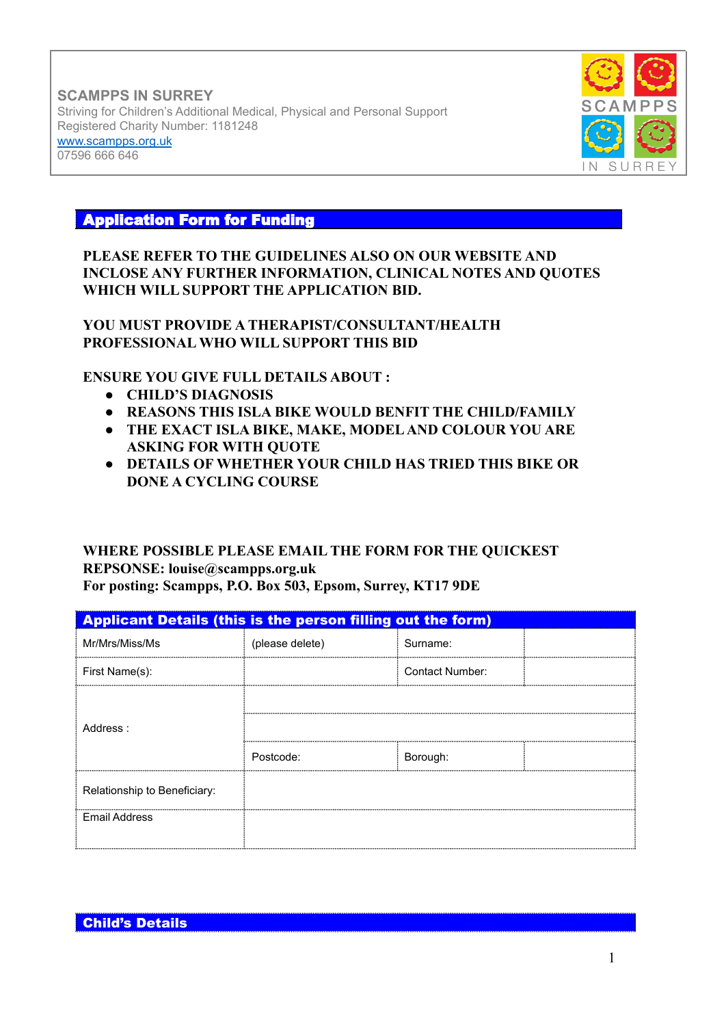**SCAMPPS IN SURREY** Striving for Children's Additional Medical, Physical and Personal Support Registered Charity Number: 1181248 [www.scampps.org.uk](http://www.scampps.org.uk) 07596 666 646



## Application Form for Funding

## **PLEASE REFER TO THE GUIDELINES ALSO ON OUR WEBSITE AND INCLOSE ANY FURTHER INFORMATION, CLINICAL NOTES AND QUOTES WHICH WILL SUPPORT THE APPLICATION BID.**

## **YOU MUST PROVIDE A THERAPIST/CONSULTANT/HEALTH PROFESSIONAL WHO WILL SUPPORT THIS BID**

## **ENSURE YOU GIVE FULL DETAILS ABOUT :**

- **● CHILD'S DIAGNOSIS**
- **● REASONS THIS ISLA BIKE WOULD BENFIT THE CHILD/FAMILY**
- **● THE EXACT ISLA BIKE, MAKE, MODEL AND COLOUR YOU ARE ASKING FOR WITH QUOTE**
- **● DETAILS OF WHETHER YOUR CHILD HAS TRIED THIS BIKE OR DONE A CYCLING COURSE**

## **WHERE POSSIBLE PLEASE EMAIL THE FORM FOR THE QUICKEST REPSONSE: louise@scampps.org.uk For posting: Scampps, P.O. Box 503, Epsom, Surrey, KT17 9DE**

| <b>Applicant Details (this is the person filling out the form)</b> |                 |                 |  |
|--------------------------------------------------------------------|-----------------|-----------------|--|
| Mr/Mrs/Miss/Ms                                                     | (please delete) | Surname:        |  |
| First Name(s):                                                     |                 | Contact Number: |  |
| Address:                                                           |                 |                 |  |
|                                                                    |                 |                 |  |
|                                                                    | Postcode:       | Borough:        |  |
| Relationship to Beneficiary:                                       |                 |                 |  |
| <b>Email Address</b>                                               |                 |                 |  |
|                                                                    |                 |                 |  |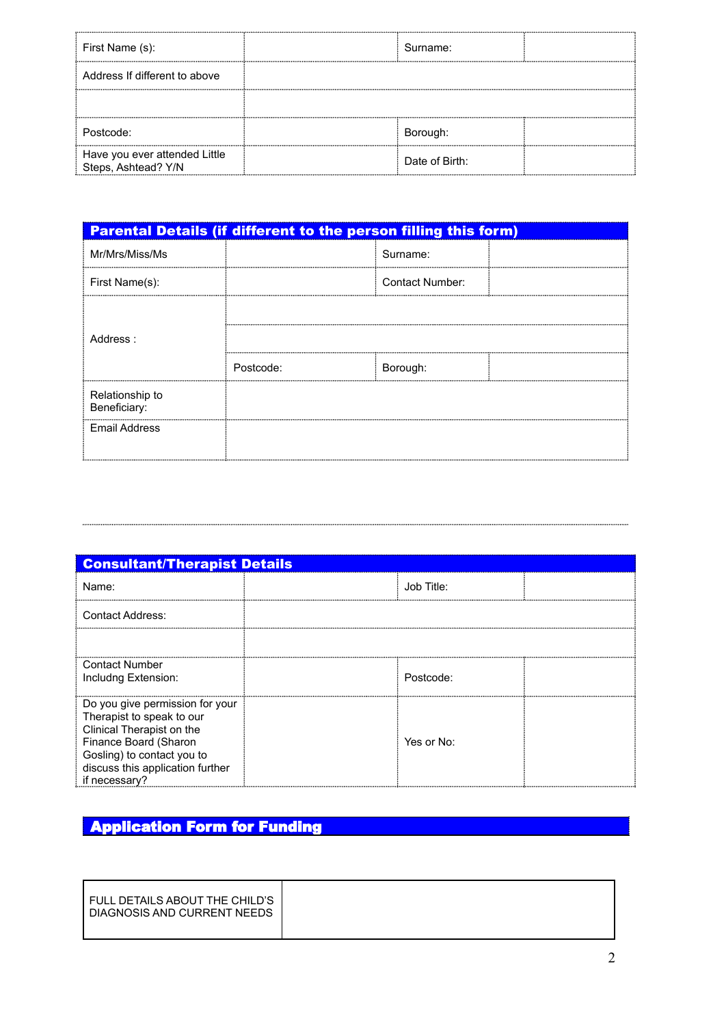| First Name (s):                                      | Surname:       |  |
|------------------------------------------------------|----------------|--|
| Address If different to above                        |                |  |
|                                                      |                |  |
| Postcode:                                            | Borough:       |  |
| Have you ever attended Little<br>Steps, Ashtead? Y/N | Date of Birth: |  |

|                                 | <b>Parental Details (if different to the person filling this form)</b> |                 |  |
|---------------------------------|------------------------------------------------------------------------|-----------------|--|
| Mr/Mrs/Miss/Ms                  |                                                                        | Surname:        |  |
| First Name(s):                  |                                                                        | Contact Number: |  |
| Address:                        |                                                                        |                 |  |
|                                 |                                                                        |                 |  |
|                                 | Postcode:                                                              | Borough:        |  |
| Relationship to<br>Beneficiary: |                                                                        |                 |  |
| <b>Email Address</b>            |                                                                        |                 |  |

| <b>Consultant/Therapist Details</b>                                                                                                                                                                   |            |  |
|-------------------------------------------------------------------------------------------------------------------------------------------------------------------------------------------------------|------------|--|
| Name:                                                                                                                                                                                                 | Job Title: |  |
| Contact Address:                                                                                                                                                                                      |            |  |
|                                                                                                                                                                                                       |            |  |
| <b>Contact Number</b><br>Includng Extension:                                                                                                                                                          | Postcode:  |  |
| Do you give permission for your<br>Therapist to speak to our<br>Clinical Therapist on the<br>Finance Board (Sharon<br>Gosling) to contact you to<br>discuss this application further<br>if necessary? | Yes or No: |  |

# **Application Form for Funding**

...........................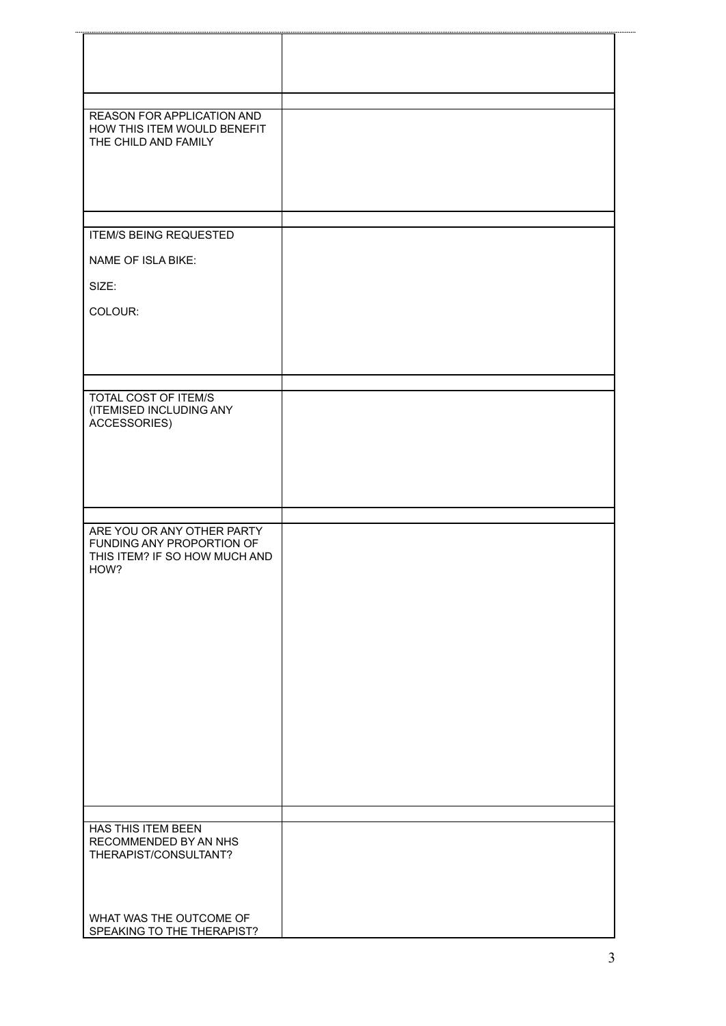| REASON FOR APPLICATION AND<br>HOW THIS ITEM WOULD BENEFIT  |  |
|------------------------------------------------------------|--|
| THE CHILD AND FAMILY                                       |  |
|                                                            |  |
|                                                            |  |
|                                                            |  |
|                                                            |  |
| <b>ITEM/S BEING REQUESTED</b>                              |  |
|                                                            |  |
| NAME OF ISLA BIKE:                                         |  |
| SIZE:                                                      |  |
| COLOUR:                                                    |  |
|                                                            |  |
|                                                            |  |
|                                                            |  |
|                                                            |  |
| TOTAL COST OF ITEM/S                                       |  |
| (ITEMISED INCLUDING ANY<br>ACCESSORIES)                    |  |
|                                                            |  |
|                                                            |  |
|                                                            |  |
|                                                            |  |
|                                                            |  |
| ARE YOU OR ANY OTHER PARTY                                 |  |
| FUNDING ANY PROPORTION OF<br>THIS ITEM? IF SO HOW MUCH AND |  |
| HOW?                                                       |  |
|                                                            |  |
|                                                            |  |
|                                                            |  |
|                                                            |  |
|                                                            |  |
|                                                            |  |
|                                                            |  |
|                                                            |  |
|                                                            |  |
|                                                            |  |
|                                                            |  |
|                                                            |  |
|                                                            |  |
| <b>HAS THIS ITEM BEEN</b>                                  |  |
| RECOMMENDED BY AN NHS                                      |  |
| THERAPIST/CONSULTANT?                                      |  |
|                                                            |  |
|                                                            |  |
| WHAT WAS THE OUTCOME OF                                    |  |
| SPEAKING TO THE THERAPIST?                                 |  |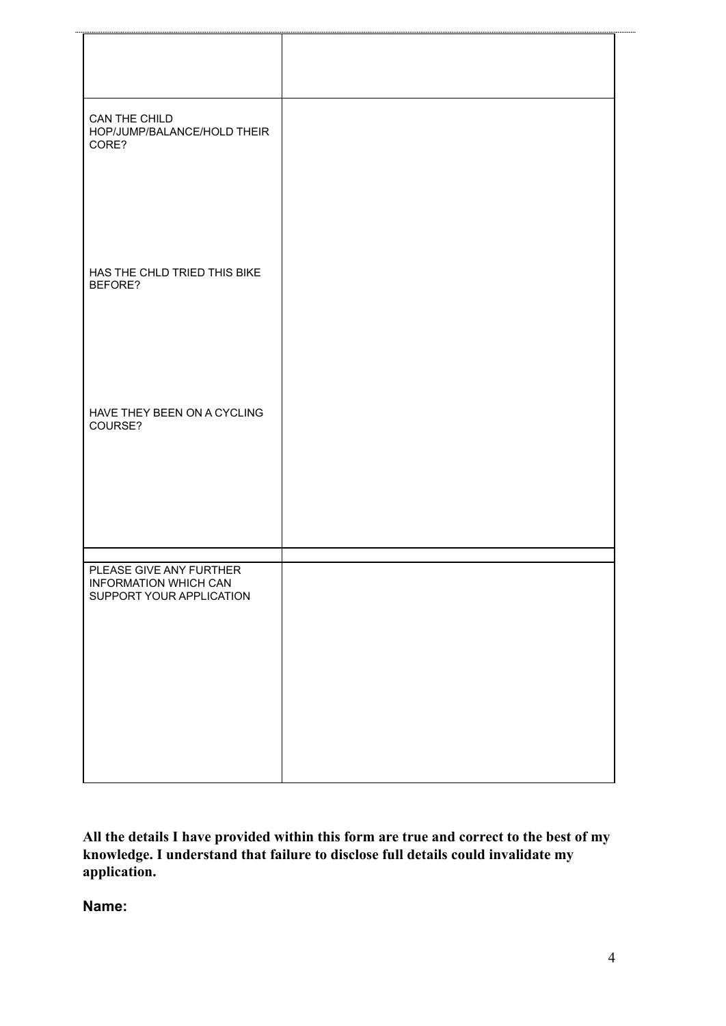| CAN THE CHILD<br>HOP/JUMP/BALANCE/HOLD THEIR<br>CORE?<br>HAS THE CHLD TRIED THIS BIKE<br>BEFORE?<br>HAVE THEY BEEN ON A CYCLING<br>COURSE? |                         |  |
|--------------------------------------------------------------------------------------------------------------------------------------------|-------------------------|--|
|                                                                                                                                            |                         |  |
|                                                                                                                                            |                         |  |
|                                                                                                                                            |                         |  |
|                                                                                                                                            |                         |  |
| <b>INFORMATION WHICH CAN</b><br>SUPPORT YOUR APPLICATION                                                                                   | PLEASE GIVE ANY FURTHER |  |
|                                                                                                                                            |                         |  |

**All the details I have provided within this form are true and correct to the best of my knowledge. I understand that failure to disclose full details could invalidate my application.**

**Name:**